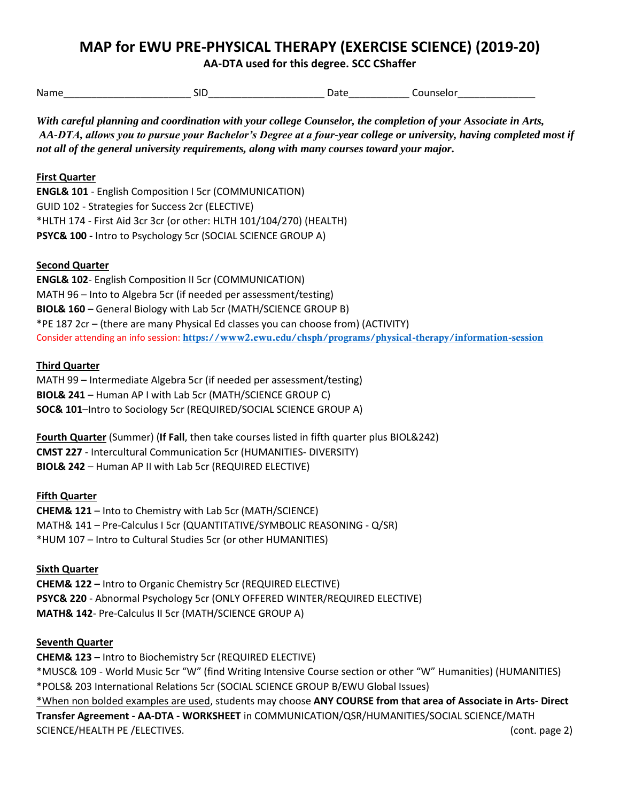# **MAP for EWU PRE-PHYSICAL THERAPY (EXERCISE SCIENCE) (2019-20)**

 **AA-DTA used for this degree. SCC CShaffer** 

Name SID SID Bate Counselor

 *AA-DTA, allows you to pursue your Bachelor's Degree at a four-year college or university, having completed most if With careful planning and coordination with your college Counselor, the completion of your Associate in Arts, not all of the general university requirements, along with many courses toward your major.* 

## **First Quarter**

**ENGL& 101** - English Composition I 5cr (COMMUNICATION) GUID 102 - Strategies for Success 2cr (ELECTIVE) \*HLTH 174 - First Aid 3cr 3cr (or other: HLTH 101/104/270) (HEALTH) **PSYC& 100 -** Intro to Psychology 5cr (SOCIAL SCIENCE GROUP A)

## **Second Quarter**

 **BIOL& 160** – General Biology with Lab 5cr (MATH/SCIENCE GROUP B) **ENGL& 102**- English Composition II 5cr (COMMUNICATION) MATH 96 – Into to Algebra 5cr (if needed per assessment/testing) \*PE 187 2cr – (there are many Physical Ed classes you can choose from) (ACTIVITY) Consider attending an info session: https://www2.ewu.edu/chsph/programs/physical-therapy/information-session

### **Third Quarter**

MATH 99 – Intermediate Algebra 5cr (if needed per assessment/testing) **BIOL& 241** – Human AP I with Lab 5cr (MATH/SCIENCE GROUP C) **SOC& 101**–Intro to Sociology 5cr (REQUIRED/SOCIAL SCIENCE GROUP A)

**Fourth Quarter** (Summer) (**If Fall**, then take courses listed in fifth quarter plus BIOL&242) **CMST 227** - Intercultural Communication 5cr (HUMANITIES- DIVERSITY) **BIOL& 242** – Human AP II with Lab 5cr (REQUIRED ELECTIVE)

### **Fifth Quarter**

**CHEM& 121** – Into to Chemistry with Lab 5cr (MATH/SCIENCE) MATH& 141 – Pre-Calculus I 5cr (QUANTITATIVE/SYMBOLIC REASONING - Q/SR) \*HUM 107 – Intro to Cultural Studies 5cr (or other HUMANITIES)

## **Sixth Quarter**

**CHEM& 122 –** Intro to Organic Chemistry 5cr (REQUIRED ELECTIVE) **PSYC& 220** - Abnormal Psychology 5cr (ONLY OFFERED WINTER/REQUIRED ELECTIVE) **MATH& 142**- Pre-Calculus II 5cr (MATH/SCIENCE GROUP A)

### **Seventh Quarter**

**CHEM& 123 –** Intro to Biochemistry 5cr (REQUIRED ELECTIVE) \*MUSC& 109 - World Music 5cr "W" (find Writing Intensive Course section or other "W" Humanities) (HUMANITIES) \*POLS& 203 International Relations 5cr (SOCIAL SCIENCE GROUP B/EWU Global Issues) \*When non bolded examples are used, students may choose **ANY COURSE from that area of Associate in Arts- Direct Transfer Agreement - AA-DTA - WORKSHEET** in COMMUNICATION/QSR/HUMANITIES/SOCIAL SCIENCE/MATH SCIENCE/HEALTH PE /ELECTIVES. (cont. page 2)